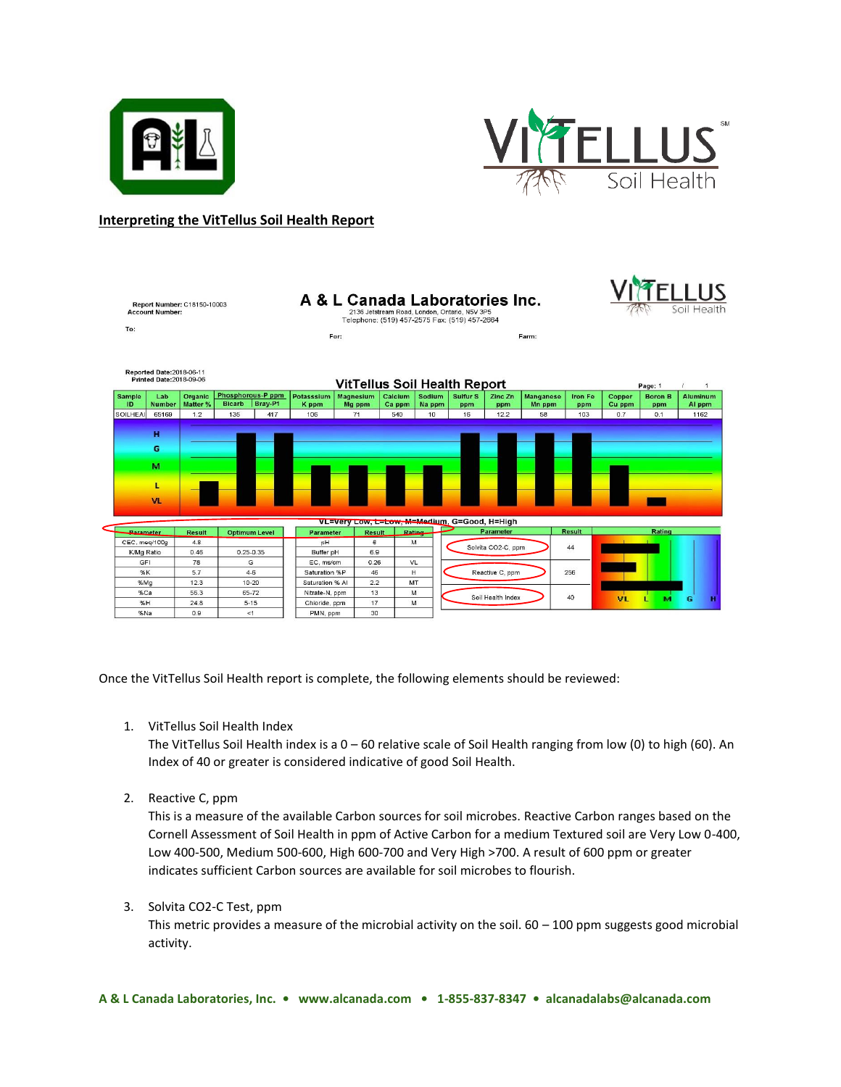



## **Interpreting the VitTellus Soil Health Report**

| To:                                                                                                | <b>Account Number:</b>    | Report Number: C18150-10003 |                                               |                     | A & L Canada Laboratories Inc.<br>2136 Jetstream Road, London, Ontario, N5V 3P5<br>Telephone: (519) 457-2575 Fax: (519) 457-2664 |                   |                  |                        |                    |                     | Soil Health    |                  |                       |                    |
|----------------------------------------------------------------------------------------------------|---------------------------|-----------------------------|-----------------------------------------------|---------------------|----------------------------------------------------------------------------------------------------------------------------------|-------------------|------------------|------------------------|--------------------|---------------------|----------------|------------------|-----------------------|--------------------|
|                                                                                                    |                           |                             | For:                                          |                     |                                                                                                                                  | Farm:             |                  |                        |                    |                     |                |                  |                       |                    |
|                                                                                                    |                           |                             |                                               |                     |                                                                                                                                  |                   |                  |                        |                    |                     |                |                  |                       |                    |
|                                                                                                    | Reported Date: 2018-06-11 |                             |                                               |                     |                                                                                                                                  |                   |                  |                        |                    |                     |                |                  |                       |                    |
| <b>Printed Date:2018-09-06</b><br><b>VitTellus Soil Health Report</b><br>Page: 1<br>$\overline{1}$ |                           |                             |                                               |                     |                                                                                                                                  |                   |                  |                        |                    |                     |                |                  |                       |                    |
| <b>Sample</b><br>ID                                                                                | Lab<br><b>Number</b>      | Organic<br>Matter %         | Phosphorous-P ppm<br><b>Bicarb</b><br>Bray-P1 | Potasssium<br>K ppm | Magnesium<br>Mg ppm                                                                                                              | Calcium<br>Ca ppm | Sodium<br>Na ppm | <b>Sulfur S</b><br>ppm | Zinc Zn<br>ppm     | Manganese<br>Mn ppm | Iron Fe<br>ppm | Copper<br>Cu ppm | <b>Boron B</b><br>ppm | Aluminum<br>Al ppm |
| SOILHEAI                                                                                           | 65169                     | 1.2                         | 135<br>417                                    | 106                 | 71                                                                                                                               | 540               | 10               | 16                     | 12.2               | 58                  | 103            | 0.7              | 0.1                   | 1162               |
|                                                                                                    |                           |                             |                                               |                     |                                                                                                                                  |                   |                  |                        |                    |                     |                |                  |                       |                    |
|                                                                                                    | н                         |                             |                                               |                     |                                                                                                                                  |                   |                  |                        |                    |                     |                |                  |                       |                    |
|                                                                                                    | G                         |                             |                                               |                     |                                                                                                                                  |                   |                  |                        |                    |                     |                |                  |                       |                    |
|                                                                                                    |                           |                             |                                               |                     |                                                                                                                                  |                   |                  |                        |                    |                     |                |                  |                       |                    |
|                                                                                                    | M                         |                             |                                               |                     |                                                                                                                                  |                   |                  |                        |                    |                     |                |                  |                       |                    |
|                                                                                                    |                           |                             |                                               |                     |                                                                                                                                  |                   |                  |                        |                    |                     |                |                  |                       |                    |
|                                                                                                    | L                         |                             |                                               |                     |                                                                                                                                  |                   |                  |                        |                    |                     |                |                  |                       |                    |
|                                                                                                    | <b>VL</b>                 |                             |                                               |                     |                                                                                                                                  |                   |                  |                        |                    |                     |                |                  |                       |                    |
|                                                                                                    |                           |                             |                                               |                     |                                                                                                                                  |                   |                  |                        |                    |                     |                |                  |                       |                    |
|                                                                                                    |                           |                             |                                               |                     | VL=Very Low, L=Low, M=Medium, G=Good, H=High                                                                                     |                   |                  |                        |                    |                     |                |                  |                       |                    |
| Parameter                                                                                          |                           | <b>Result</b>               | <b>Optimum Level</b>                          | Parameter           | <b>Result</b>                                                                                                                    |                   | Rating_          |                        | Parameter          |                     | <b>Result</b>  |                  | Rating                |                    |
| CEC, meg/100g                                                                                      |                           | 4.8                         |                                               | pH                  | 6                                                                                                                                |                   | M                |                        | Solvita CO2-C. ppm |                     | 44             |                  |                       |                    |
| K/Mg Ratio                                                                                         |                           | 0.46                        | $0.25 - 0.35$                                 | Buffer pH           | 6.9                                                                                                                              |                   |                  |                        |                    |                     |                |                  |                       |                    |
| GFI                                                                                                |                           | 78                          | G                                             | EC, ms/cm           | 0.26                                                                                                                             |                   | VL               |                        |                    |                     |                |                  |                       |                    |
| %K                                                                                                 |                           | 5.7                         | $4 - 6$                                       | Saturation %P       | 46                                                                                                                               |                   | H.               |                        | Reactive C. ppm    |                     | 256            |                  |                       |                    |
| %Mq                                                                                                |                           | 12.3                        | $10 - 20$                                     | Saturation % Al     | 2.2                                                                                                                              |                   | MT               |                        |                    |                     |                |                  |                       |                    |
| %Ca<br>%H                                                                                          |                           | 56.3<br>24.8                | 65-72<br>$5 - 15$                             | Nitrate-N, ppm      | 13<br>17                                                                                                                         |                   | M<br>M           |                        | Soil Health Index  |                     | 40             | <b>VL</b>        | м                     | G<br>н             |
| %Na                                                                                                |                           | 0.9                         | <1                                            | Chloride, ppm       | 30                                                                                                                               |                   |                  |                        |                    |                     |                |                  |                       |                    |
|                                                                                                    |                           |                             |                                               | PMN, ppm            |                                                                                                                                  |                   |                  |                        |                    |                     |                |                  |                       |                    |

Once the VitTellus Soil Health report is complete, the following elements should be reviewed:

1. VitTellus Soil Health Index

The VitTellus Soil Health index is a 0 – 60 relative scale of Soil Health ranging from low (0) to high (60). An Index of 40 or greater is considered indicative of good Soil Health.

2. Reactive C, ppm

This is a measure of the available Carbon sources for soil microbes. Reactive Carbon ranges based on the Cornell Assessment of Soil Health in ppm of Active Carbon for a medium Textured soil are Very Low 0-400, Low 400-500, Medium 500-600, High 600-700 and Very High >700. A result of 600 ppm or greater indicates sufficient Carbon sources are available for soil microbes to flourish.

3. Solvita CO2-C Test, ppm

This metric provides a measure of the microbial activity on the soil.  $60 - 100$  ppm suggests good microbial activity.